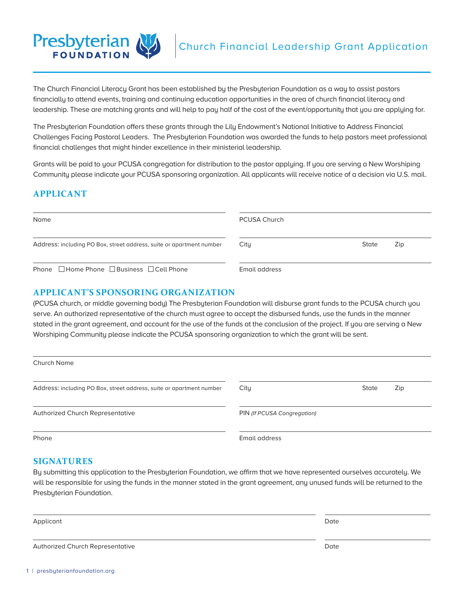

The Church Financial Literacy Grant has been established by the Presbyterian Foundation as a way to assist pastors financially to attend events, training and continuing education opportunities in the area of church financial literacy and leadership. These are matching grants and will help to pay half of the cost of the event/opportunity that you are applying for.

The Presbyterian Foundation offers these grants through the Lily Endowment's National Initiative to Address Financial Challenges Facing Pastoral Leaders. The Presbyterian Foundation was awarded the funds to help pastors meet professional financial challenges that might hinder excellence in their ministerial leadership.

Grants will be paid to your PCUSA congregation for distribution to the pastor applying. If you are serving a New Worshiping Community please indicate your PCUSA sponsoring organization. All applicants will receive notice of a decision via U.S. mail.

# **APPLICANT**

| Name                                                                 | PCUSA Church  |       |     |
|----------------------------------------------------------------------|---------------|-------|-----|
| Address: including PO Box, street address, suite or apartment number | City          | State | Zip |
| Phone $\Box$ Home Phone $\Box$ Business $\Box$ Cell Phone            | Email address |       |     |

## **APPLICANT'S SPONSORING ORGANIZATION**

(PCUSA church, or middle governing body) The Presbyterian Foundation will disburse grant funds to the PCUSA church you serve. An authorized representative of the church must agree to accept the disbursed funds, use the funds in the manner stated in the grant agreement, and account for the use of the funds at the conclusion of the project. If you are serving a New Worshiping Community please indicate the PCUSA sponsoring organization to which the grant will be sent.

| Church Name                                                          |                             |       |     |
|----------------------------------------------------------------------|-----------------------------|-------|-----|
| Address: including PO Box, street address, suite or apartment number | City                        | State | Zip |
| <b>Authorized Church Representative</b>                              | PIN (If PCUSA Congregation) |       |     |
| Phone                                                                | Email address               |       |     |

#### **SIGNATURES**

By submitting this application to the Presbyterian Foundation, we affirm that we have represented ourselves accurately. We will be responsible for using the funds in the manner stated in the grant agreement, any unused funds will be returned to the Presbyterian Foundation.

| Applicant                        | Date |
|----------------------------------|------|
| Authorized Church Representative | Date |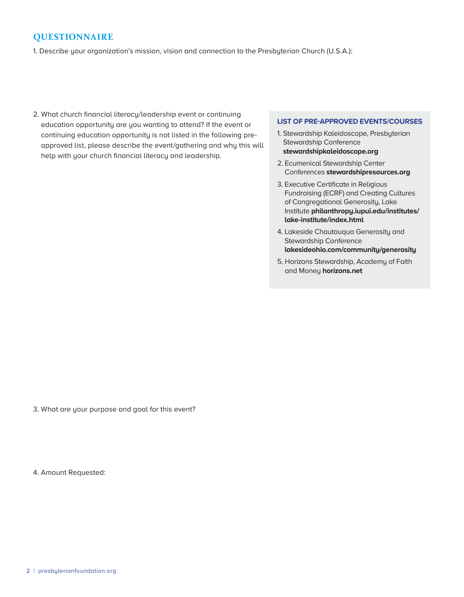# **QUESTIONNAIRE**

1. Describe your organization's mission, vision and connection to the Presbyterian Church (U.S.A.):

2. What church financial literacy/leadership event or continuing education opportunity are you wanting to attend? If the event or continuing education opportunity is not listed in the following preapproved list, please describe the event/gathering and why this will help with your church financial literacy and leadership.

#### **LIST OF PRE-APPROVED EVENTS/COURSES**

- 1. Stewardship Kaleidoscope, Presbyterian Stewardship Conference **stewardshipkaleidoscope.org**
- 2. Ecumenical Stewardship Center Conferences **stewardshipresources.org**
- 3. Executive Certificate in Religious Fundraising (ECRF) and Creating Cultures of Congregational Generosity, Lake Institute **philanthropy.iupui.edu/institutes/ lake-institute/index.html**
- 4. Lakeside Chautauqua Generosity and Stewardship Conference **lakesideohio.com/community/generosity**
- 5. Horizons Stewardship, Academy of Faith and Money **horizons.net**

3. What are your purpose and goal for this event?

4. Amount Requested: